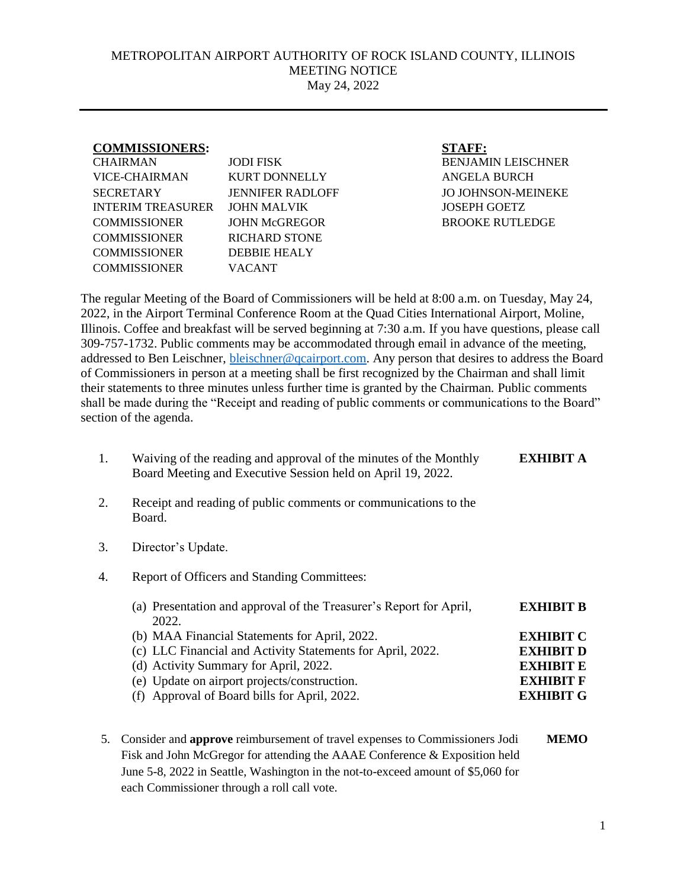## METROPOLITAN AIRPORT AUTHORITY OF ROCK ISLAND COUNTY, ILLINOIS MEETING NOTICE May 24, 2022

| <b>COMMISSIONERS:</b>    |                         | <b>STAFF:</b>             |
|--------------------------|-------------------------|---------------------------|
| <b>CHAIRMAN</b>          | JODI FISK               | <b>BENJAMIN LEISCHNER</b> |
| VICE-CHAIRMAN            | KURT DONNELLY           | ANGELA BURCH              |
| <b>SECRETARY</b>         | <b>JENNIFER RADLOFF</b> | <b>JO JOHNSON-MEINEKE</b> |
| <b>INTERIM TREASURER</b> | JOHN MALVIK             | <b>JOSEPH GOETZ</b>       |
| <b>COMMISSIONER</b>      | JOHN McGREGOR           | <b>BROOKE RUTLEDGE</b>    |
| <b>COMMISSIONER</b>      | <b>RICHARD STONE</b>    |                           |
| <b>COMMISSIONER</b>      | DEBBIE HEALY            |                           |
| <b>COMMISSIONER</b>      | VACANT                  |                           |
|                          |                         |                           |

The regular Meeting of the Board of Commissioners will be held at 8:00 a.m. on Tuesday, May 24, 2022, in the Airport Terminal Conference Room at the Quad Cities International Airport, Moline, Illinois. Coffee and breakfast will be served beginning at 7:30 a.m. If you have questions, please call 309-757-1732. Public comments may be accommodated through email in advance of the meeting, addressed to Ben Leischner, [bleischner@qcairport.com.](mailto:bleischner@qcairport.com) Any person that desires to address the Board of Commissioners in person at a meeting shall be first recognized by the Chairman and shall limit their statements to three minutes unless further time is granted by the Chairman. Public comments shall be made during the "Receipt and reading of public comments or communications to the Board" section of the agenda.

- 1. Waiving of the reading and approval of the minutes of the Monthly Board Meeting and Executive Session held on April 19, 2022. **EXHIBIT A**
- 2. Receipt and reading of public comments or communications to the Board.
- 3. Director's Update.
- 4. Report of Officers and Standing Committees:

| (a) Presentation and approval of the Treasurer's Report for April, | <b>EXHIBIT B</b> |
|--------------------------------------------------------------------|------------------|
| 2022.                                                              |                  |
| (b) MAA Financial Statements for April, 2022.                      | <b>EXHIBIT C</b> |
| (c) LLC Financial and Activity Statements for April, 2022.         | <b>EXHIBIT D</b> |
| (d) Activity Summary for April, 2022.                              | <b>EXHIBIT E</b> |
| (e) Update on airport projects/construction.                       | <b>EXHIBIT F</b> |
| (f) Approval of Board bills for April, 2022.                       | <b>EXHIBIT G</b> |
|                                                                    |                  |

5. Consider and **approve** reimbursement of travel expenses to Commissioners Jodi **MEMO** Fisk and John McGregor for attending the AAAE Conference & Exposition held June 5-8, 2022 in Seattle, Washington in the not-to-exceed amount of \$5,060 for each Commissioner through a roll call vote.